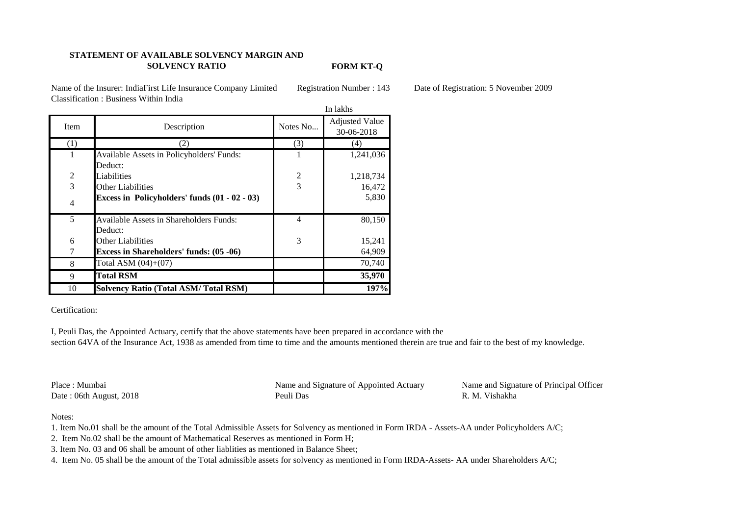## **STATEMENT OF AVAILABLE SOLVENCY MARGIN AND SOLVENCY RATIO**

**FORM KT-Q**

Name of the Insurer: IndiaFirst Life Insurance Company Limited Registration Number : 143 Date of Registration: 5 November 2009 Classification : Business Within India

|                |                                                 | In lakhs       |                                     |
|----------------|-------------------------------------------------|----------------|-------------------------------------|
| Item           | Description                                     | Notes No       | <b>Adjusted Value</b><br>30-06-2018 |
| (1)            | 2)                                              | (3)            | (4)                                 |
| 1              | Available Assets in Policyholders' Funds:       | 1              | 1,241,036                           |
|                | Deduct:                                         |                |                                     |
| $\overline{2}$ | Liabilities                                     |                | 1,218,734                           |
| 3              | Other Liabilities                               | 3              | 16,472                              |
| $\overline{4}$ | Excess in Policyholders' funds $(01 - 02 - 03)$ |                | 5,830                               |
| 5              | <b>Available Assets in Shareholders Funds:</b>  | $\overline{4}$ | 80,150                              |
|                | Deduct:                                         |                |                                     |
| 6              | <b>Other Liabilities</b>                        | 3              | 15,241                              |
| 7              | <b>Excess in Shareholders' funds: (05 -06)</b>  |                | 64,909                              |
| 8              | Total ASM $(04)+(07)$                           |                | 70,740                              |
| 9              | <b>Total RSM</b>                                |                | 35,970                              |
| 10             | <b>Solvency Ratio (Total ASM/Total RSM)</b>     |                | 197%                                |

## Certification:

I, Peuli Das, the Appointed Actuary, certify that the above statements have been prepared in accordance with the section 64VA of the Insurance Act, 1938 as amended from time to time and the amounts mentioned therein are true and fair to the best of my knowledge.

Place : Mumbai Name and Signature of Appointed Actuary Name and Signature of Principal Officer Date : 06th August, 2018 **Peuli Das** R. M. Vishakha

## Notes:

- 1. Item No.01 shall be the amount of the Total Admissible Assets for Solvency as mentioned in Form IRDA Assets-AA under Policyholders A/C;
- 2. Item No.02 shall be the amount of Mathematical Reserves as mentioned in Form H;
- 3. Item No. 03 and 06 shall be amount of other liablities as mentioned in Balance Sheet;
- 4. Item No. 05 shall be the amount of the Total admissible assets for solvency as mentioned in Form IRDA-Assets- AA under Shareholders A/C;